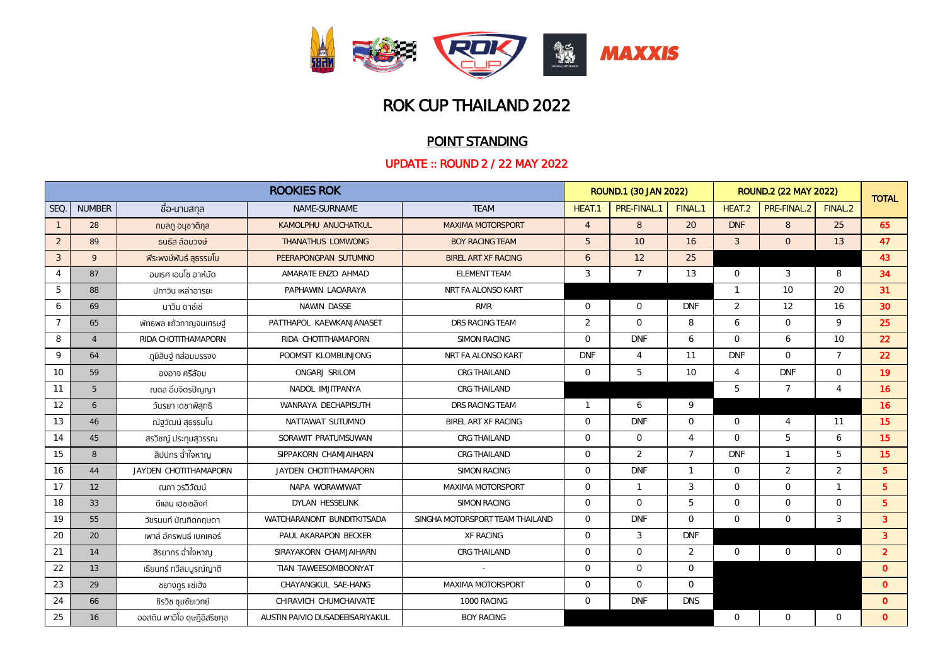

## POINT STANDING

|                | <b>ROOKIES ROK</b> |                               |                                 |                                 |                | ROUND.1 (30 JAN 2022) |                |                | ROUND.2 (22 MAY 2022) |                |                |
|----------------|--------------------|-------------------------------|---------------------------------|---------------------------------|----------------|-----------------------|----------------|----------------|-----------------------|----------------|----------------|
| SEQ            | <b>NUMBER</b>      | ชื่อ-นามสกุล                  | NAME-SURNAME                    | <b>TEAM</b>                     | HEAT.          | PRE-FINAL.            | FINAL.1        | HEAT.2         | PRE-FINAL.2           | FINAL.2        | <b>TOTAL</b>   |
| $\mathbf{1}$   | 28                 | ึกมลภู อนชาติกล               | KAMOLPHU ANUCHATKUL             | <b>MAXIMA MOTORSPORT</b>        | $\overline{4}$ | 8                     | 20             | <b>DNF</b>     | 8                     | 25             | 65             |
| $\overline{2}$ | 89                 | ธนธัส ล้อมวงษ์                | THANATHUS LOMWONG               | <b>BOY RACING TEAM</b>          | 5              | 10                    | 16             | $\mathcal{S}$  | $\overline{O}$        | 13             | 47             |
| $\mathcal{S}$  | 9                  | พีระพงษ์พันธ์ สุธรรมโน        | PEERAPONGPAN SUTUMNO            | BIREL ART XF RACING             | 6              | 12                    | 25             |                |                       |                | 43             |
| $\overline{4}$ | 87                 | ้อมเรศ เอนโซ อาห์มัด          | AMARATE ENZO AHMAD              | ELEMENT TEAM                    | $\mathcal{S}$  | $\overline{7}$        | 13             | $\circ$        | 3                     | 8              | 34             |
| 5              | 88                 | ูปภาวิน เหล่าอารยะ            | PAPHAWIN LAOARAYA               | NRT FA ALONSO KART              |                |                       |                | $\mathbf{1}$   | 10                    | 20             | 31             |
| 6              | 69                 | นาวิน ดาซ์เซ่                 | NAWIN DASSE                     | <b>RMR</b>                      | $\circ$        | $\mathbf{0}$          | <b>DNF</b>     | $\overline{2}$ | 12                    | 16             | 30             |
| $\overline{7}$ | 65                 | พัทธพล แก้วกาญจนเศรษฐ์        | PATTHAPOL KAEWKANJANASET        | DRS RACING TEAM                 | $\overline{2}$ | $\Omega$              | 8              | 6              | $\overline{0}$        | $\circ$        | 25             |
| 8              | $\overline{4}$     | RIDA CHOTITHAMAPORN           | RIDA CHOTITHAMAPORN             | <b>SIMON RACING</b>             | $\Omega$       | <b>DNF</b>            | 6              | $\Omega$       | 6                     | 10             | 22             |
| $\mathsf{Q}$   | 64                 | ภูมิสิษฐ์ กล่อมบรรจง          | POOMSIT KLOMBUNJONG             | NRT FA ALONSO KART              | <b>DNF</b>     | $\overline{4}$        | 11             | <b>DNF</b>     | $\circ$               | $\overline{7}$ | 22             |
| 10             | 59                 | องอาจ ศรีล้อม                 | ONGARJ SRILOM                   | CRG THAILAND                    | $\circ$        | 5                     | 10             | $\Delta$       | <b>DNF</b>            | $\Omega$       | 19             |
| 11             | 5                  | ณดล อิ่มจิตรปัญญา             | NADOL IMJITPANYA                | CRG THAILAND                    |                |                       |                | 5              | $\overline{7}$        | $\overline{4}$ | <b>16</b>      |
| 12             | 6                  | วันรยา เดชาพิสุทธิ            | WANRAYA DECHAPISUTH             | DRS RACING TEAM                 | $\mathbf{1}$   | 6                     | 9              |                |                       |                | 16             |
| 13             | 46                 | ณัฐวัฒน์ สุธรรมโน             | NATTAWAT SUTUMNO                | BIREL ART XF RACING             | $\circ$        | <b>DNF</b>            | $\circ$        | $\circ$        | $\overline{4}$        | 11             | 15             |
| 14             | 45                 | สรวิชญ์ ประทบสวรรณ            | SORAWIT PRATUMSUWAN             | CRG THAILAND                    | $\Omega$       | $\circ$               | $\overline{4}$ | $\Omega$       | 5                     | 6              | 15             |
| 15             | 8                  | สิปปกร ฉ่ำใจหาญ               | SIPPAKORN CHAMJAIHARN           | CRG THAILAND                    | $\Omega$       | $\overline{2}$        | $\overline{7}$ | <b>DNF</b>     | $\mathbf{1}$          | $\overline{5}$ | 15             |
| 16             | 44                 | JAYDEN CHOTITHAMAPORN         | JAYDEN CHOTITHAMAPORN           | SIMON RACING                    | $\Omega$       | <b>DNF</b>            | $\mathbf{1}$   | $\Omega$       | $\overline{2}$        | $\overline{2}$ | $5^{\circ}$    |
| 17             | 12                 | ณภา วรวิวัฒน์                 | NAPA WORAWIWAT                  | MAXIMA MOTORSPORT               | $\Omega$       | $\mathbf{1}$          | 3              | $\Omega$       | $\circ$               | $\overline{1}$ | $5^{\circ}$    |
| 18             | 33                 | ดีแลน เฮซเซลิงค์              | DYLAN HESSELINK                 | SIMON RACING                    | $\Omega$       | $\Omega$              | $\overline{5}$ | $\Omega$       | $\circ$               | $\Omega$       | 5 <sup>5</sup> |
| 19             | 55                 | ้วัชรนนท์ บัณฑิตกฤษดา         | WATCHARANONT BUNDITKITSADA      | SINGHA MOTORSPORT TEAM THAILAND | $\Omega$       | <b>DNF</b>            | $\Omega$       | $\Omega$       | $\circ$               | $\mathcal{S}$  | $\overline{3}$ |
| 20             | 20                 | เพาล์ อัครพนธ์ เบคเคอร์       | PAUL AKARAPON BECKER            | <b>XF RACING</b>                | $\Omega$       | 3                     | <b>DNF</b>     |                |                       |                | $\overline{3}$ |
| 21             | 14                 | สิรยากร ฉ่ำใจหาญ              | SIRAYAKORN CHAMJAIHARN          | CRG THAILAND                    | $\Omega$       | $\circ$               | $\overline{2}$ | $\circ$        | $\circ$               | $\circ$        | $\overline{2}$ |
| 22             | 13                 | เรียนทร์ ทวีสมบูรณ์ญาติ       | TIAN TAWEESOMBOONYAT            |                                 | $\Omega$       | $\Omega$              | $\Omega$       |                |                       |                | $\Omega$       |
| 23             | 29                 | ชยางกูร แซ่เฮ้ง               | CHAYANGKUL SAE-HANG             | MAXIMA MOTORSPORT               | $\Omega$       | $\Omega$              | $\Omega$       |                |                       |                | $\Omega$       |
| 24             | 66                 | ชิรวิช ชมชัยเวทย์             | CHIRAVICH CHUMCHAIVATE          | 1000 RACING                     | $\Omega$       | <b>DNF</b>            | <b>DNS</b>     |                |                       |                | $\mathbf{0}$   |
| 25             | 16                 | ้ออสติน พาวิโอ ดูษฎีอิสริยกุล | AUSTIN PAIVIO DUSADEEISARIYAKUL | <b>BOY RACING</b>               |                |                       |                | $\Omega$       | $\Omega$              | $\Omega$       | $\mathbf{0}$   |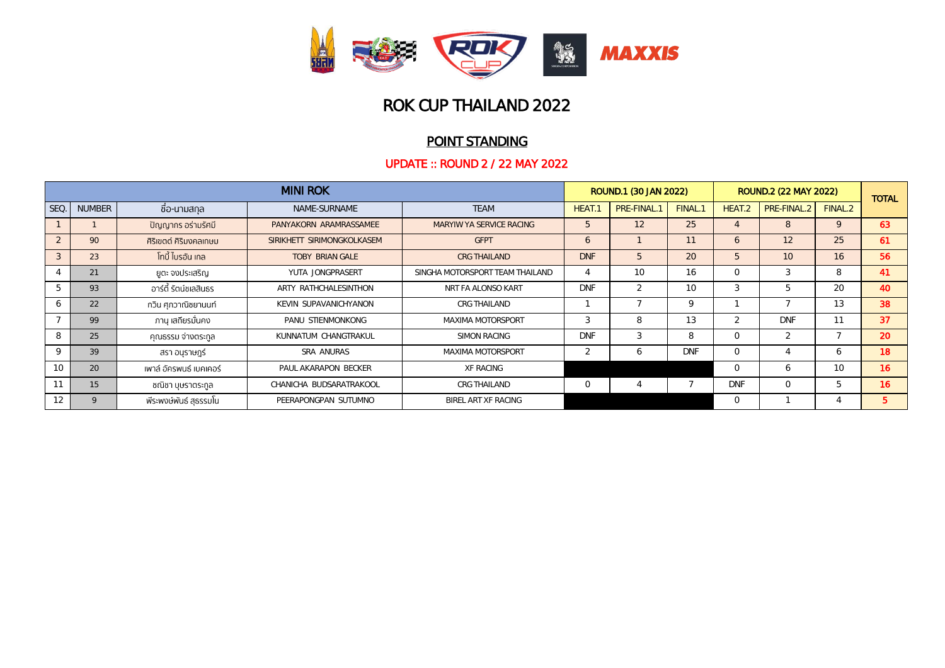

### POINT STANDING

|              | <b>MINI ROK</b> |                         |                            |                                 |            | ROUND.1 (30 JAN 2022) |            | <b>ROUND.2 (22 MAY 2022)</b> |                  |                 | <b>TOTAL</b> |
|--------------|-----------------|-------------------------|----------------------------|---------------------------------|------------|-----------------------|------------|------------------------------|------------------|-----------------|--------------|
| SEQ.         | <b>NUMBER</b>   | ี ชื่อ-นามสกุล          | NAME-SURNAME               | <b>TEAM</b>                     | HEAT.      | PRE-FINAL.1           | FINAL.1    | HEAT.2                       | <b>PRE-FINAL</b> | FINAL.2         |              |
|              |                 | ปัญญากร อร่ามรัศมี      | PANYAKORN ARAMRASSAMEE     | MARYIW YA SERVICE RACING        | 5          | 12                    | 25         |                              | 8                | 9               | 63           |
| 2            | 90              | ้ศิริเขตต์ ศิริมงคลเกษม | SIRIKHETT SIRIMONGKOLKASEM | <b>GFPT</b>                     | 6          |                       | 11         | 6                            | 12               | 25              | 61           |
| $\mathbf{3}$ | 23              | ์ โทบี้ ไบรอัน เกล      | <b>TOBY BRIAN GALE</b>     | CRG THAILAND                    | <b>DNF</b> | 5                     | 20         | 5                            | 10               | 16              | 56           |
|              | 21              | ยูตะ จงประเสริญ         | YUTA JONGPRASERT           | SINGHA MOTORSPORT TEAM THAILAND |            | 10                    | 16         | $\Omega$                     | 3                | 8               | 41           |
|              | 93              | อาร์ตี้ รัตน์ชเลสินธร   | ARTY RATHCHALESINTHON      | NRT FA ALONSO KART              | <b>DNF</b> | $\overline{2}$        | 10         | 3                            |                  | 20              | 40           |
| <sub>6</sub> | 22              | กวิน ศุภวาณิชยานนท์     | KEVIN SUPAVANICHYANON      | CRG THAILAND                    |            |                       | 9          |                              |                  | 13              | 38           |
|              | 99              | ภาน เสถียรมั่นคง        | PANU STIENMONKONG          | MAXIMA MOTORSPORT               | 3          | 8                     | 13         | $\mathfrak{D}$               | <b>DNF</b>       |                 | 37           |
| 8            | 25              | คุณธรรม จ่างตระกูล      | KUNNATUM CHANGTRAKUL       | SIMON RACING                    | <b>DNF</b> | 3                     | 8          | $\Omega$                     | $\sim$           |                 | 20           |
| $\mathsf Q$  | 39              | สรา อนุราษฎร์           | SRA ANURAS                 | MAXIMA MOTORSPORT               |            | 6                     | <b>DNF</b> | $\Omega$                     |                  | <sub>6</sub>    | 18           |
| 10           | 20              | เพาล์ อัครพนธ์ เบคเคอร์ | PAUL AKARAPON BECKER       | XF RACING                       |            |                       |            | $\circ$                      | 6                | 10 <sup>2</sup> | 16           |
| 11           | 15              | ชณิชา บุษราตระกูล       | CHANICHA BUDSARATRAKOOL    | <b>CRG THAILAND</b>             | $\Omega$   |                       |            | <b>DNF</b>                   | $\Omega$         | b               | 16           |
| 12           | $\mathsf{Q}$    | พีระพงษ์พันธ์ สุธรรมโน  | PEERAPONGPAN SUTUMNO       | BIREL ART XF RACING             |            |                       |            | $\circ$                      |                  |                 | 5.           |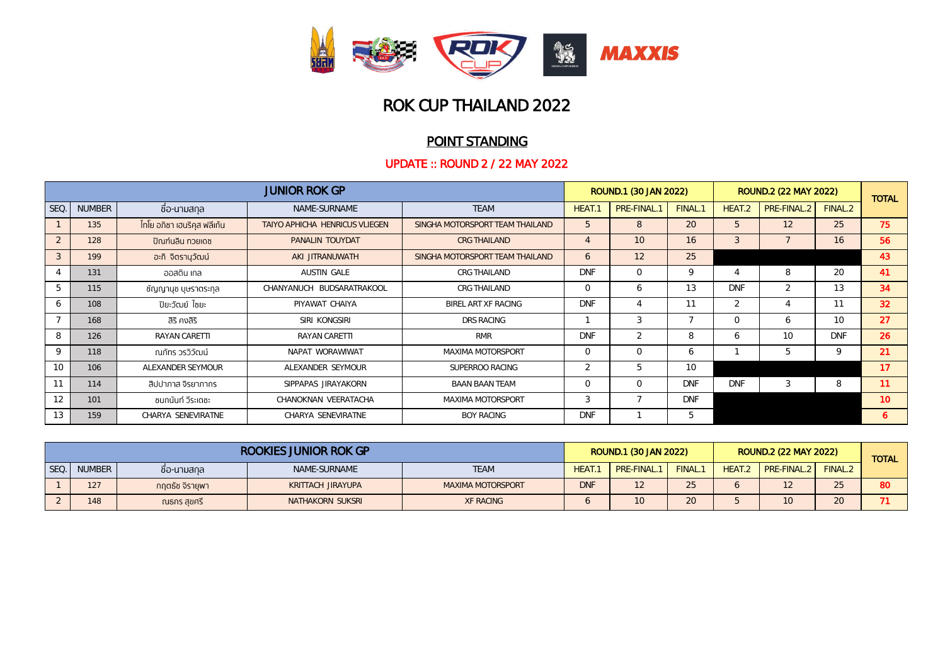

### POINT STANDING

|                | <b>JUNIOR ROK GP</b> |                               |                                |                                 |                          |            | ROUND.1 (30 JAN 2022)<br><b>ROUND.2 (22 MAY 2022)</b> |            |                  |                 |                 |
|----------------|----------------------|-------------------------------|--------------------------------|---------------------------------|--------------------------|------------|-------------------------------------------------------|------------|------------------|-----------------|-----------------|
| <b>SEQ</b>     | <b>NUMBER</b>        | ้ ชื่อ-นามสกุล                | NAME-SURNAME                   | <b>TEAM</b>                     | <b>HEAT.</b>             | PRE-FINAL. | FINAL.1                                               | HEAT.2     | <b>PRE-FINAL</b> | FINAL.2         | <b>TOTAL</b>    |
|                | 135                  | ี ไทโย อภิชา เฮนริคุส ฟลีเก้น | TAIYO APHICHA HENRICUS VLIEGEN | SINGHA MOTORSPORT TEAM THAILAND | $\overline{c}$           | 8          | 20                                                    | b.         | 12               | 25              | 75              |
| 2              | 128                  | ปัณฑ์นลิน ทวยเดช              | PANALIN TOUYDAT                | <b>CRG THAILAND</b>             |                          | 10         | 16                                                    | 3          |                  | 16              | 56              |
| $\overline{3}$ | 199                  | อะกิ จิตรานุวัฒน์             | AKI JITRANUWATH                | SINGHA MOTORSPORT TEAM THAILAND | 6                        | 12         | 25                                                    |            |                  |                 | 43              |
|                | 131                  | ออสติน เกล                    | AUSTIN GALE                    | CRG THAILAND                    | <b>DNF</b>               | $\circ$    | 9                                                     |            | 8                | 20              | 41              |
| $\mathcal{D}$  | 115                  | ชัญญานุช บุษราตระกุล          | CHANYANUCH BUDSARATRAKOOL      | CRG THAILAND                    | $\Omega$                 | 6          | 13                                                    | <b>DNF</b> | $\overline{2}$   | 13              | 34              |
| O              | 108                  | ปิยะวัฒย์ ไชยะ                | PIYAWAT CHAIYA                 | BIREL ART XF RACING             | <b>DNF</b>               | 4          |                                                       |            |                  | 11              | 32 <sub>2</sub> |
|                | 168                  | สิริ คงสิริ                   | SIRI KONGSIRI                  | DRS RACING                      |                          | 3          |                                                       | $\circ$    | 6                | 10 <sup>2</sup> | 27              |
| 8              | 126                  | RAYAN CARETTI                 | RAYAN CARETTI                  | <b>RMR</b>                      | <b>DNF</b>               | 2          | 8                                                     | O          | 10               | <b>DNF</b>      | 26              |
| 9              | 118                  | ณภัทร วรวิวัฒน์               | NAPAT WORAWIWAT                | MAXIMA MOTORSPORT               | $\Omega$                 | $\Omega$   | 6                                                     |            | .b               | 9               | 21              |
| 10             | 106                  | ALEXANDER SEYMOUR             | ALEXANDER SEYMOUR              | SUPERROO RACING                 | $\overline{\mathcal{L}}$ | 5          | 10                                                    |            |                  |                 | 17              |
| 11             | 114                  | สิปปาภาส จิรยาภากร            | SIPPAPAS JIRAYAKORN            | <b>BAAN BAAN TEAM</b>           | $\Omega$                 | $\Omega$   | <b>DNF</b>                                            | <b>DNF</b> | 3                | 8               | 11              |
| 12             | 101                  | ชนกนันท์ วีระเตชะ             | CHANOKNAN VEERATACHA           | MAXIMA MOTORSPORT               | 3                        | ٠          | <b>DNF</b>                                            |            |                  |                 | 10 <sup>1</sup> |
| 13             | 159                  | CHARYA SENEVIRATNE            | CHARYA SENEVIRATNE             | <b>BOY RACING</b>               | <b>DNF</b>               |            | 5                                                     |            |                  |                 | 6               |

|      | ROOKIES JUNIOR ROK GP |                 |                   |                   |            | <b>ROUND.2 (22 MAY 2022)</b><br>ROUND.1 (30 JAN 2022) |                     |  |                            |                 | <b>TOTAL</b> |
|------|-----------------------|-----------------|-------------------|-------------------|------------|-------------------------------------------------------|---------------------|--|----------------------------|-----------------|--------------|
| SEQ. | <b>NUMBER</b>         | ้ชิอ-นามสกล     | NAME-SURNAME      | <b>TEAM</b>       | HEAT.      | PRE-FINAL. <sup>1</sup>                               | FINAL. <sup>7</sup> |  | HEAT.2 PRE-FINAL.2 FINAL.2 |                 |              |
|      | 127                   | ึกฤตรัช จิรายพา | KRITTACH JIRAYUPA | MAXIMA MOTORSPORT | <b>DNF</b> |                                                       | $\cap$ $\Gamma$     |  | $\sim$                     | $\cap$ $\Gamma$ | 80           |
|      | 148                   | ุณธกร สขศรี     | NATHAKORN SUKSRI  | <b>XF RACING</b>  |            |                                                       |                     |  | 10                         | $\cap$          |              |